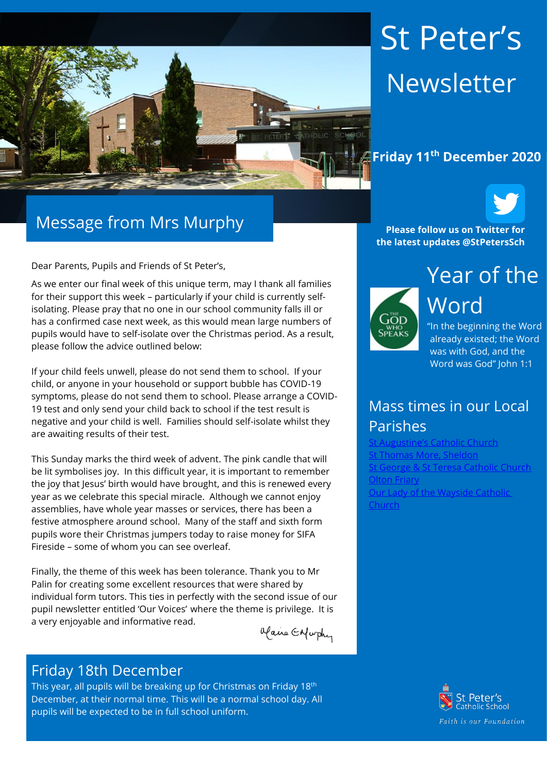

# St Peter's Newsletter

#### **Friday 11th December 2020**



Dear Parents, Pupils and Friends of St Peter's,

As we enter our final week of this unique term, may I thank all families for their support this week – particularly if your child is currently selfisolating. Please pray that no one in our school community falls ill or has a confirmed case next week, as this would mean large numbers of pupils would have to self-isolate over the Christmas period. As a result, please follow the advice outlined below:

If your child feels unwell, please do not send them to school. If your child, or anyone in your household or support bubble has COVID-19 symptoms, please do not send them to school. Please arrange a COVID-19 test and only send your child back to school if the test result is negative and your child is well. Families should self-isolate whilst they are awaiting results of their test.

This Sunday marks the third week of advent. The pink candle that will be lit symbolises joy. In this difficult year, it is important to remember the joy that Jesus' birth would have brought, and this is renewed every year as we celebrate this special miracle. Although we cannot enjoy assemblies, have whole year masses or services, there has been a festive atmosphere around school. Many of the staff and sixth form pupils wore their Christmas jumpers today to raise money for SIFA Fireside – some of whom you can see overleaf.

Finally, the theme of this week has been tolerance. Thank you to Mr Palin for creating some excellent resources that were shared by individual form tutors. This ties in perfectly with the second issue of our pupil newsletter entitled 'Our Voices' where the theme is privilege. It is a very enjoyable and informative read.

alaire Enfurthy

#### Friday 18th December

This year, all pupils will be breaking up for Christmas on Friday 18<sup>th</sup> December, at their normal time. This will be a normal school day. All pupils will be expected to be in full school uniform.

**Please follow us on Twitter for the latest updates @StPetersSch**



Year of the Word

"In the beginning the Word already existed; the Word was with God, and the Word was God" John 1:1

## Mass times in our Local Parishes

Catholic Church [St Thomas More, Sheldon](https://www.stthomasmorercchurch.com/) [St George & St Teresa Catholic Church](https://www.catholicchurch.dorridge.uk/) [Olton Friary](https://www.oltonfriary.org.uk/) [Our Lady of the Wayside Catholic](http://ourladyofthewaysidechurchshirley.co.uk/)  [Church](http://ourladyofthewaysidechurchshirley.co.uk/)

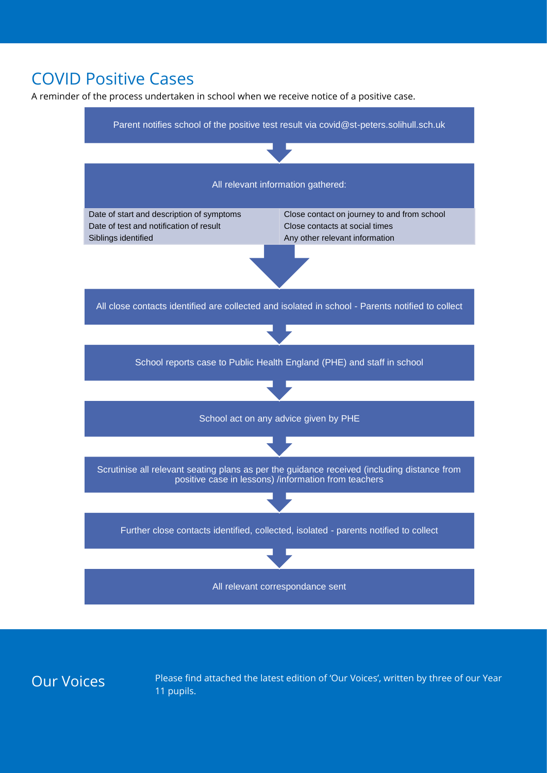## COVID Positive Cases

A reminder of the process undertaken in school when we receive notice of a positive case.



Our Voices Please find attached the latest edition of 'Our Voices', written by three of our Year 11 pupils.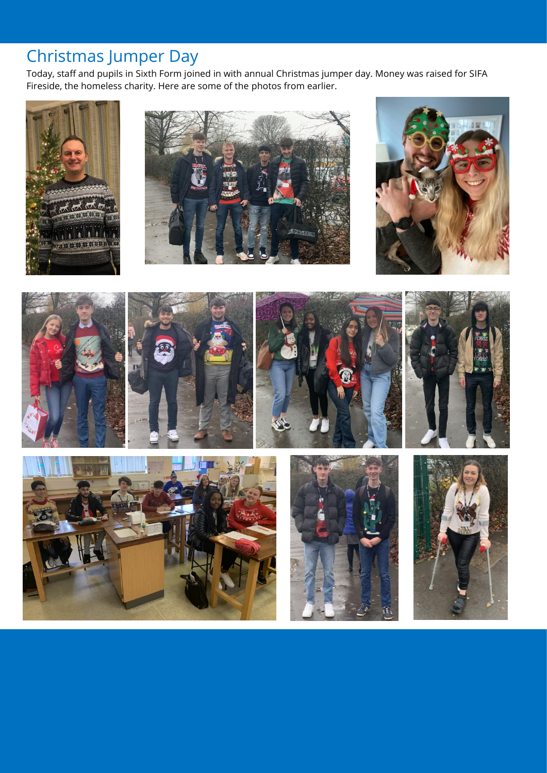# Christmas Jumper Day

Today, staff and pupils in Sixth Form joined in with annual Christmas jumper day. Money was raised for SIFA Fireside, the homeless charity. Here are some of the photos from earlier.